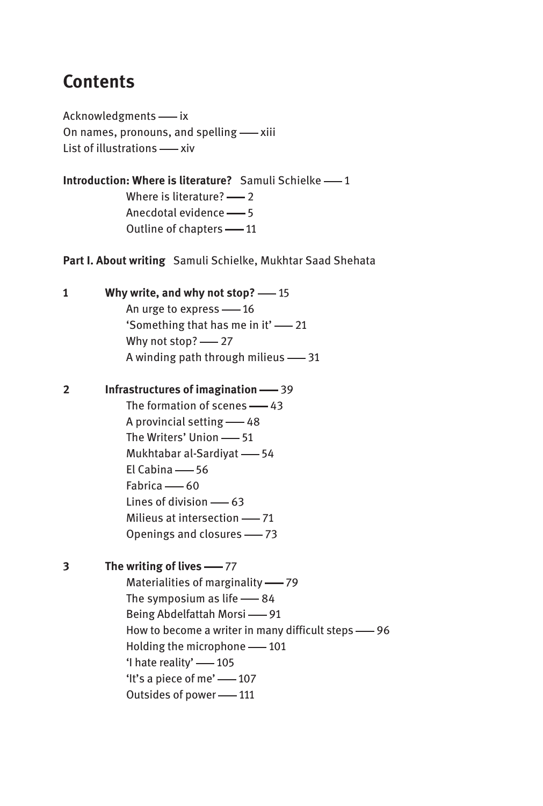## **Contents**

Acknowledgments - ix On names, pronouns, and spelling — xiii List of illustrations — xiv

**Introduction: Where is literature?** Samuli Schielke -- 1

Where is literature?  $-2$ Anecdotal evidence — 5 Outline of chapters -11

**Part I. About writing** Samuli Schielke, Mukhtar Saad Shehata

**1 Why write, and why not stop?** — 15 An urge to express -16 'Something that has me in it' — 21 Why not stop? - 27 A winding path through milieus  $-$  31

**2 Infrastructures of imagination** — 39 The formation of scenes  $-43$ A provincial setting -48 The Writers' Union -- 51 Mukhtabar al-Sardiyat -64  $El Cabina — 56$ Fabrica — 60 Lines of division  $-63$ Milieus at intersection - 71 Openings and closures - 73

**3** The writing of lives — 77 Materialities of marginality — 79 The symposium as life  $-84$ Being Abdelfattah Morsi — 91 How to become a writer in many difficult steps -96 Holding the microphone -101 'I hate reality' -105 'It's a piece of me' -- 107 Outsides of power -- 111